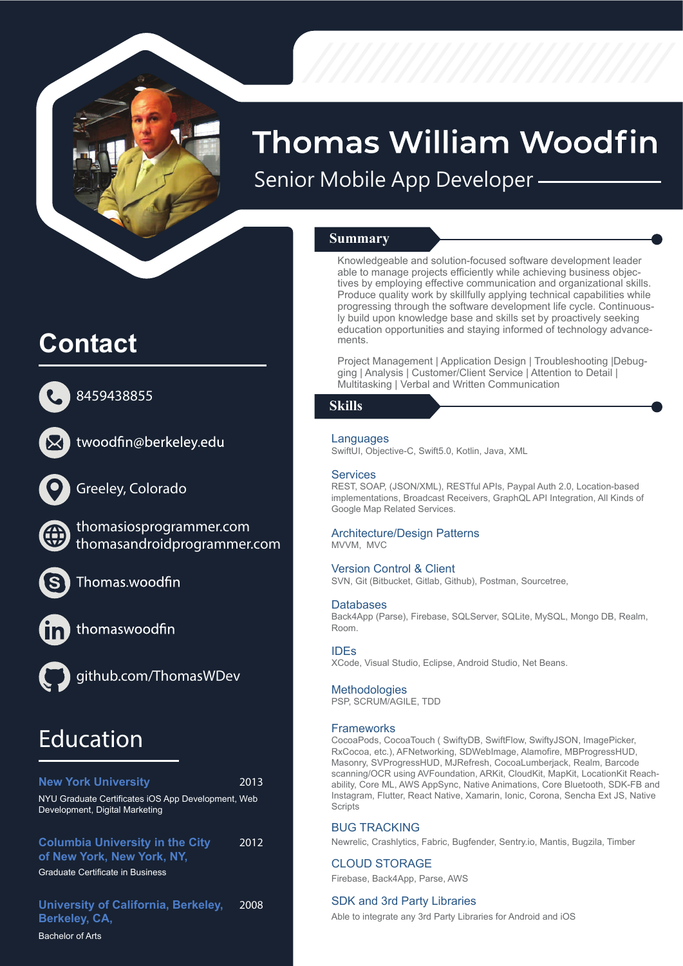

# **Thomas William Woodfin** Senior Mobile App Developer

**Summary**

Knowledgeable and solution-focused software development leader able to manage projects efficiently while achieving business objectives by employing effective communication and organizational skills. Produce quality work by skillfully applying technical capabilities while progressing through the software development life cycle. Continuously build upon knowledge base and skills set by proactively seeking education opportunities and staying informed of technology advancements.

Project Management | Application Design | Troubleshooting |Debugging | Analysis | Customer/Client Service | Attention to Detail | Multitasking | Verbal and Written Communication

### **Skills**

### **Languages**

SwiftUI, Objective-C, Swift5.0, Kotlin, Java, XML

### **Services**

REST, SOAP, (JSON/XML), RESTful APIs, Paypal Auth 2.0, Location-based implementations, Broadcast Receivers, GraphQL API Integration, All Kinds of Google Map Related Services.

### Architecture/Design Patterns

MVVM, MVC

### Version Control & Client

SVN, Git (Bitbucket, Gitlab, Github), Postman, Sourcetree,

### **Databases**

Back4App (Parse), Firebase, SQLServer, SQLite, MySQL, Mongo DB, Realm, Room.

### IDEs

XCode, Visual Studio, Eclipse, Android Studio, Net Beans.

#### **Methodologies**

PSP, SCRUM/AGILE, TDD

#### **Frameworks**

CocoaPods, CocoaTouch ( SwiftyDB, SwiftFlow, SwiftyJSON, ImagePicker, RxCocoa, etc.), AFNetworking, SDWebImage, Alamofire, MBProgressHUD, Masonry, SVProgressHUD, MJRefresh, CocoaLumberjack, Realm, Barcode scanning/OCR using AVFoundation, ARKit, CloudKit, MapKit, LocationKit Reachability, Core ML, AWS AppSync, Native Animations, Core Bluetooth, SDK-FB and Instagram, Flutter, React Native, Xamarin, Ionic, Corona, Sencha Ext JS, Native **Scripts** 

### BUG TRACKING

Newrelic, Crashlytics, Fabric, Bugfender, Sentry.io, Mantis, Bugzila, Timber

### CLOUD STORAGE

Firebase, Back4App, Parse, AWS

#### SDK and 3rd Party Libraries

Able to integrate any 3rd Party Libraries for Android and iOS

## **Contact**



8459438855



twoodfin@berkeley.edu



Greeley, Colorado

thomasiosprogrammer.com **https://www.thomasiosprogrammer.com/** thomasandroidprogrammer.com **http://thomasandroidprogrammer.com/**



Thomas.woodfin



thomaswoodfin



github.com/ThomasWDev **https://github.com/ThomasWDev**

## **Education**

| <b>New York University</b>                                                           | 2013 |
|--------------------------------------------------------------------------------------|------|
| NYU Graduate Certificates iOS App Development, Web<br>Development, Digital Marketing |      |
| <b>Columbia University in the City</b><br>of New York, New York, NY,                 | 2012 |
| <b>Graduate Certificate in Business</b>                                              |      |
| University of California, Berkeley,<br>Berkeley, CA,                                 | 2008 |

Bachelor of Arts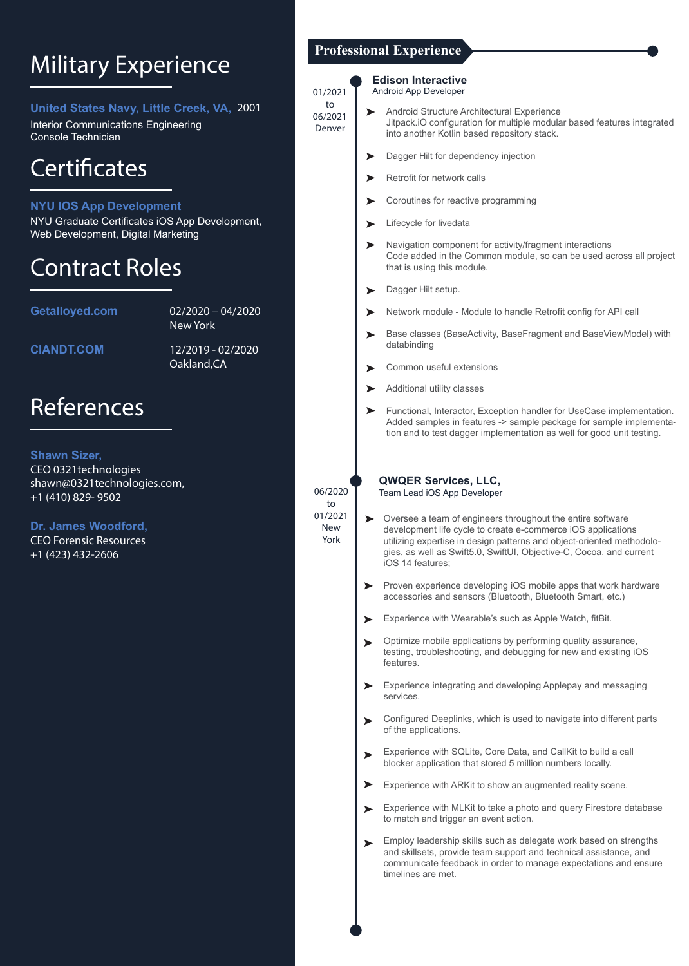## Military Experience

**United States Navy, Little Creek, VA,** 2001

Interior Communications Engineering Console Technician

## Certificates

### **NYU IOS App Development**

NYU Graduate Certificates iOS App Development, Web Development, Digital Marketing

### Contract Roles

**Getalloyed.com** 02/2020 – 04/2020 **https://www.getalloyed.com/** New York

**CIANDT.COM** 

**CIANDT.COM** 12/2019 - 02/2020 Oakland,CA

### References

**Shawn Sizer,** CEO 0321technologies shawn@0321technologies.com, +1 (410) 829- 9502

**Dr. James Woodford,** CEO Forensic Resources +1 (423) 432-2606

### **Professional Experience**

#### **Edison Interactive** Android App Developer

01/2021 to 06/2021 Denver

- Android Structure Architectural Experience  $\blacktriangleright$ Jitpack.iO configuration for multiple modular based features integrated into another Kotlin based repository stack.
	- Dagger Hilt for dependency injection
	- Retrofit for network calls  $\blacktriangleright$
	- Coroutines for reactive programming  $\blacktriangleright$
	- Lifecycle for livedata  $\blacktriangleright$
	- Navigation component for activity/fragment interactions Code added in the Common module, so can be used across all project that is using this module.
	- Dagger Hilt setup.  $\blacktriangleright$
	- Network module Module to handle Retrofit config for API call
	- Base classes (BaseActivity, BaseFragment and BaseViewModel) with databinding
	- Common useful extensions  $\blacktriangleright$
	- Additional utility classes  $\blacktriangleright$
	- Functional, Interactor, Exception handler for UseCase implementation.  $\blacktriangleright$ Added samples in features -> sample package for sample implementation and to test dagger implementation as well for good unit testing.

**QWQER Services, LLC,** 

Team Lead iOS App Developer

- $\blacktriangleright$ Oversee a team of engineers throughout the entire software development life cycle to create e-commerce iOS applications utilizing expertise in design patterns and object-oriented methodologies, as well as Swift5.0, SwiftUI, Objective-C, Cocoa, and current iOS 14 features;
- Proven experience developing iOS mobile apps that work hardware  $\blacktriangleright$ accessories and sensors (Bluetooth, Bluetooth Smart, etc.)
- Experience with Wearable's such as Apple Watch, fitBit.
- Optimize mobile applications by performing quality assurance,  $\blacktriangleright$ testing, troubleshooting, and debugging for new and existing iOS features.
- Experience integrating and developing Applepay and messaging services.
- Configured Deeplinks, which is used to navigate into different parts of the applications.
- Experience with SQLite, Core Data, and CallKit to build a call  $\blacksquare$ blocker application that stored 5 million numbers locally.
- Experience with ARKit to show an augmented reality scene.  $\blacktriangleright$
- Experience with MLKit to take a photo and query Firestore database  $\blacksquare$ to match and trigger an event action.
- Employ leadership skills such as delegate work based on strengths and skillsets, provide team support and technical assistance, and communicate feedback in order to manage expectations and ensure timelines are met.

06/2020 to 01/2021 New York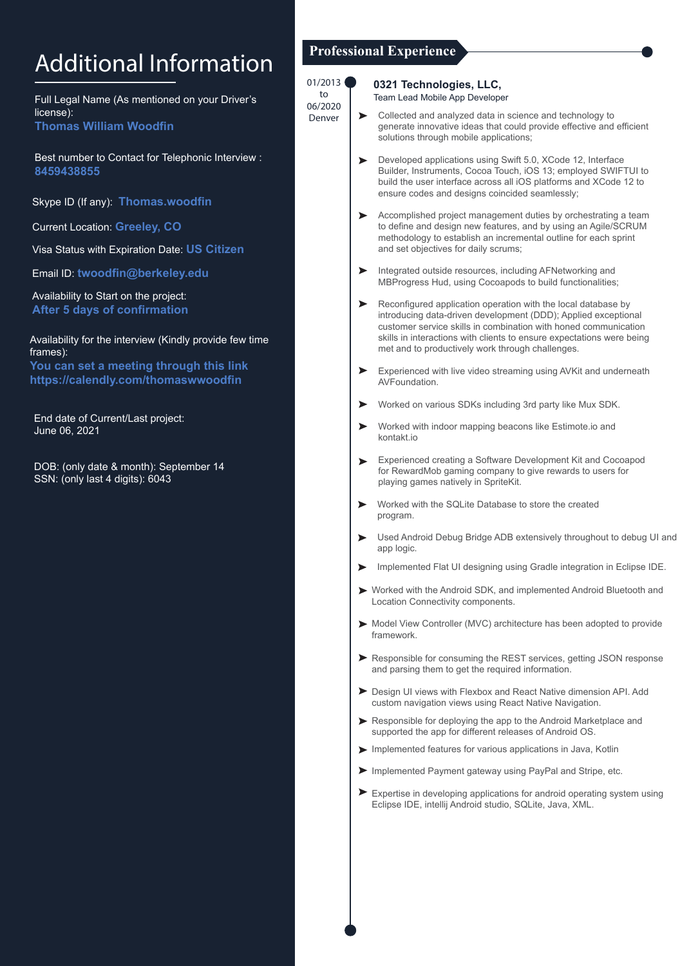# Additional Information

Full Legal Name (As mentioned on your Driver's license): **Thomas William Woodfin**

Best number to Contact for Telephonic Interview : **8459438855** 

Skype ID (If any): **Thomas.woodfin**

Current Location: **Greeley, CO**

Visa Status with Expiration Date: **US Citizen** 

Email ID: **twoodfin@berkeley.edu**

Availability to Start on the project: **After 5 days of confirmation**

Availability for the interview (Kindly provide few time frames):

**You can set a meeting through this link https://calendly.com/thomaswwoodfin**

End date of Current/Last project: June 06, 2021

DOB: (only date & month): September 14 SSN: (only last 4 digits): 6043

### **Professional Experience**

| 01/2013<br>to<br>06/2020 |                       | 0321 Technologies, LLC,<br>Team Lead Mobile App Developer                                                                                                                                                                                                                                                                       |
|--------------------------|-----------------------|---------------------------------------------------------------------------------------------------------------------------------------------------------------------------------------------------------------------------------------------------------------------------------------------------------------------------------|
| Denver                   | $\blacktriangleright$ | Collected and analyzed data in science and technology to<br>generate innovative ideas that could provide effective and efficient<br>solutions through mobile applications;                                                                                                                                                      |
|                          | ➤                     | Developed applications using Swift 5.0, XCode 12, Interface<br>Builder, Instruments, Cocoa Touch, iOS 13; employed SWIFTUI to<br>build the user interface across all iOS platforms and XCode 12 to<br>ensure codes and designs coincided seamlessly;                                                                            |
|                          | ➤                     | Accomplished project management duties by orchestrating a team<br>to define and design new features, and by using an Agile/SCRUM<br>methodology to establish an incremental outline for each sprint<br>and set objectives for daily scrums;                                                                                     |
|                          | ➤                     | Integrated outside resources, including AFNetworking and<br>MBProgress Hud, using Cocoapods to build functionalities;                                                                                                                                                                                                           |
|                          | ➤                     | Reconfigured application operation with the local database by<br>introducing data-driven development (DDD); Applied exceptional<br>customer service skills in combination with honed communication<br>skills in interactions with clients to ensure expectations were being<br>met and to productively work through challenges. |
|                          | ➤                     | Experienced with live video streaming using AVKit and underneath<br>AVFoundation.                                                                                                                                                                                                                                               |
|                          | ➤                     | Worked on various SDKs including 3rd party like Mux SDK.                                                                                                                                                                                                                                                                        |
|                          | ➤                     | Worked with indoor mapping beacons like Estimote.io and<br>kontakt.io                                                                                                                                                                                                                                                           |
|                          | ►                     | Experienced creating a Software Development Kit and Cocoapod<br>for RewardMob gaming company to give rewards to users for<br>playing games natively in SpriteKit.                                                                                                                                                               |
|                          | ➤                     | Worked with the SQLite Database to store the created<br>program.                                                                                                                                                                                                                                                                |
|                          | ➤                     | Used Android Debug Bridge ADB extensively throughout to debug UI and<br>app logic.                                                                                                                                                                                                                                              |
|                          | ➤                     | Implemented Flat UI designing using Gradle integration in Eclipse IDE.                                                                                                                                                                                                                                                          |
|                          |                       | ► Worked with the Android SDK, and implemented Android Bluetooth and<br>Location Connectivity components.                                                                                                                                                                                                                       |
|                          |                       | Model View Controller (MVC) architecture has been adopted to provide<br>framework.                                                                                                                                                                                                                                              |
|                          |                       | $\triangleright$ Perpensible for consuming the PEST services, actting $\vert$ SON response                                                                                                                                                                                                                                      |

- Responsible for consuming the REST services, getting JSON response and parsing them to get the required information.
- Design UI views with Flexbox and React Native dimension API. Add custom navigation views using React Native Navigation.
- Responsible for deploying the app to the Android Marketplace and supported the app for different releases of Android OS.
- Implemented features for various applications in Java, Kotlin
- Implemented Payment gateway using PayPal and Stripe, etc.
- Expertise in developing applications for android operating system using Eclipse IDE, intellij Android studio, SQLite, Java, XML.